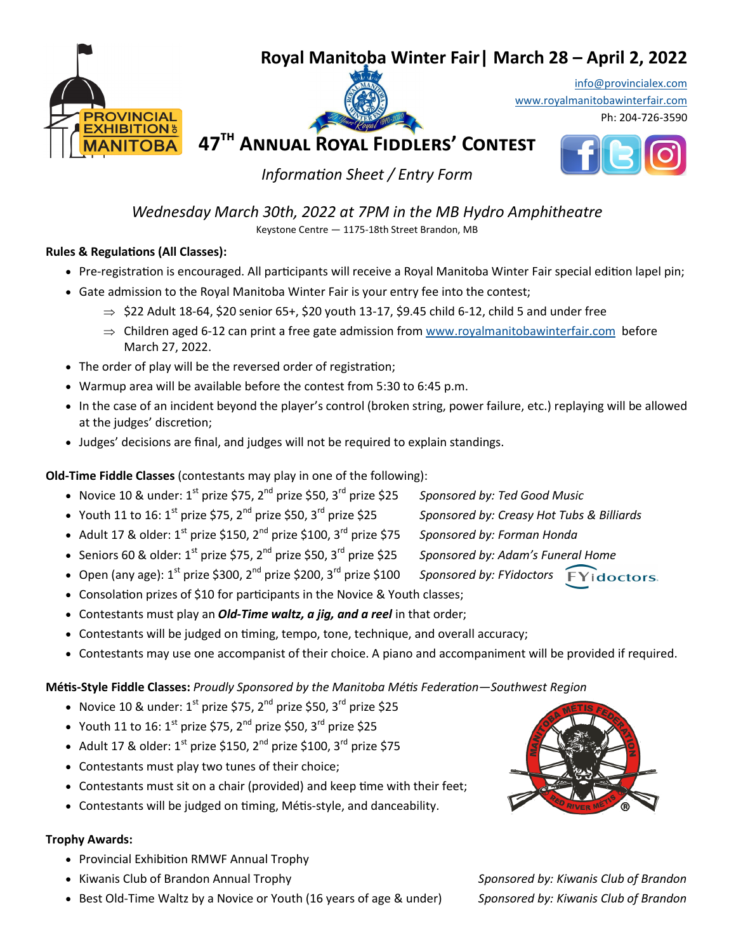### **Royal Manitoba Winter Fair| March 28 – April 2, 2022**







Ph: 204-726-3590



*Information Sheet / Entry Form*

*Wednesday March 30th, 2022 at 7PM in the MB Hydro Amphitheatre* 

Keystone Centre — 1175-18th Street Brandon, MB

#### **Rules & Regulations (All Classes):**

- Pre-registration is encouraged. All participants will receive a Royal Manitoba Winter Fair special edition lapel pin;
- Gate admission to the Royal Manitoba Winter Fair is your entry fee into the contest;
	- $\Rightarrow$  \$22 Adult 18-64, \$20 senior 65+, \$20 youth 13-17, \$9.45 child 6-12, child 5 and under free
	- $\Rightarrow$  Children aged 6-12 can print a free gate admission from [www.royalmanitobawinterfair.com](http://www.royalmanitobawinterfair.com) before March 27, 2022.
- The order of play will be the reversed order of registration;
- Warmup area will be available before the contest from 5:30 to 6:45 p.m.
- In the case of an incident beyond the player's control (broken string, power failure, etc.) replaying will be allowed at the judges' discretion;
- Judges' decisions are final, and judges will not be required to explain standings.

**Old-Time Fiddle Classes** (contestants may play in one of the following):

- Novice 10 & under: 1<sup>st</sup> prize \$75, 2<sup>nd</sup> prize \$50, 3<sup>rd</sup> prize \$25 *Sponsored by: Ted Good Music*
- Youth 11 to 16: 1<sup>st</sup> prize \$75, 2<sup>nd</sup> prize \$50, 3<sup>rd</sup> prize \$25 *Sponsored by: Creasy Hot Tubs & Billiards*
- Adult 17 & older: 1<sup>st</sup> prize \$150, 2<sup>nd</sup> prize \$100, 3<sup>rd</sup> prize \$75 *Sponsored by: Forman Honda*
- Seniors 60 & older: 1<sup>st</sup> prize \$75, 2<sup>nd</sup> prize \$50, 3<sup>rd</sup> prize \$25 *Sponsored by: Adam's Funeral Home*
- Open (any age): 1<sup>st</sup> prize \$300, 2<sup>nd</sup> prize \$200, 3<sup>rd</sup> prize \$100 *Sponsored by: FYidoctors* **FYidoctors**.
- Consolation prizes of \$10 for participants in the Novice & Youth classes;
- Contestants must play an *Old-Time waltz, a jig, and a reel* in that order;
- Contestants will be judged on timing, tempo, tone, technique, and overall accuracy;
- Contestants may use one accompanist of their choice. A piano and accompaniment will be provided if required.

**Métis-Style Fiddle Classes:** *Proudly Sponsored by the Manitoba Métis Federation—Southwest Region*

- Novice 10 & under:  $1^{st}$  prize \$75, 2<sup>nd</sup> prize \$50, 3<sup>rd</sup> prize \$25
- Youth 11 to 16:  $1^{st}$  prize \$75,  $2^{nd}$  prize \$50,  $3^{rd}$  prize \$25
- Adult 17 & older:  $1^{st}$  prize \$150, 2<sup>nd</sup> prize \$100, 3<sup>rd</sup> prize \$75
- Contestants must play two tunes of their choice;
- Contestants must sit on a chair (provided) and keep time with their feet;
- Contestants will be judged on timing, Métis-style, and danceability.

#### **Trophy Awards:**

- Provincial Exhibition RMWF Annual Trophy
- Kiwanis Club of Brandon Annual Trophy *Sponsored by: Kiwanis Club of Brandon*
- Best Old-Time Waltz by a Novice or Youth (16 years of age & under) *Sponsored by: Kiwanis Club of Brandon*
- 

- 
- 
- -
	-